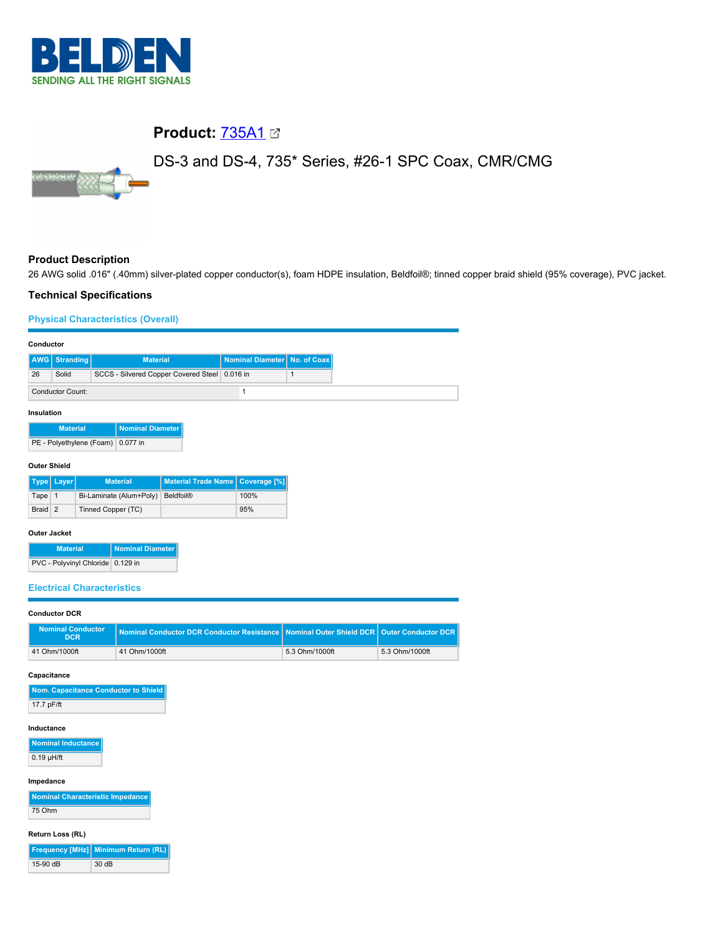

# **Product:** [735A1](https://catalog.belden.com/index.cfm?event=pd&p=PF_735A1&tab=downloads)

# DS-3 and DS-4, 735\* Series, #26-1 SPC Coax, CMR/CMG

# **Product Description**

26 AWG solid .016" (.40mm) silver-plated copper conductor(s), foam HDPE insulation, Beldfoil®; tinned copper braid shield (95% coverage), PVC jacket.

### **Technical Specifications**

### **Physical Characteristics (Overall)**

| Conductor                         |                         |                          |                         |                                               |                  |              |
|-----------------------------------|-------------------------|--------------------------|-------------------------|-----------------------------------------------|------------------|--------------|
| AWG                               | <b>Stranding</b>        |                          | <b>Material</b>         |                                               | Nominal Diameter | No. of Coax  |
| 26                                | Solid                   |                          |                         | SCCS - Silvered Copper Covered Steel 0.016 in |                  | $\mathbf{1}$ |
|                                   | <b>Conductor Count:</b> |                          |                         |                                               | $\mathbf{1}$     |              |
| Insulation                        |                         |                          |                         |                                               |                  |              |
|                                   | <b>Material</b>         |                          | <b>Nominal Diameter</b> |                                               |                  |              |
|                                   |                         | PE - Polyethylene (Foam) | 0.077 in                |                                               |                  |              |
| <b>Outer Shield</b>               |                         |                          |                         |                                               |                  |              |
|                                   | Type   Layer            |                          | <b>Material</b>         | <b>Material Trade Name</b>                    | Coverage [%]     |              |
| Tape 1                            |                         |                          | Bi-Laminate (Alum+Poly) | <b>Beldfoil®</b>                              | 100%             |              |
| Braid 2                           |                         | Tinned Copper (TC)       |                         |                                               | 95%              |              |
| <b>Outer Jacket</b>               |                         |                          |                         |                                               |                  |              |
|                                   | <b>Material</b>         |                          | <b>Nominal Diameter</b> |                                               |                  |              |
| PVC - Polyvinyl Chloride 0.129 in |                         |                          |                         |                                               |                  |              |
| <b>Electrical Characteristics</b> |                         |                          |                         |                                               |                  |              |
| <b>Conductor DCR</b>              |                         |                          |                         |                                               |                  |              |

| Nominal Conductor<br>DCR | Nominal Conductor DCR Conductor Resistance   Nominal Outer Shield DCR   Outer Conductor DCR |                |                |
|--------------------------|---------------------------------------------------------------------------------------------|----------------|----------------|
| 41 Ohm/1000ft            | 41 Ohm/1000ft                                                                               | 5.3 Ohm/1000ft | 5.3 Ohm/1000ft |

#### **Capacitance**

| Nom. Capacitance Conductor to Shield |  |
|--------------------------------------|--|
| 17.7 pF/ft                           |  |

#### **Inductance**

**Nominal Inductance**  $0.19 \mu H/ft$ 

#### **Impedance**

**Nominal Characteristic Impedance** 75 Ohm

### **Return Loss (RL)**

|            | Frequency [MHz] Minimum Return (RL) |
|------------|-------------------------------------|
| $15-90$ dB | 30dB                                |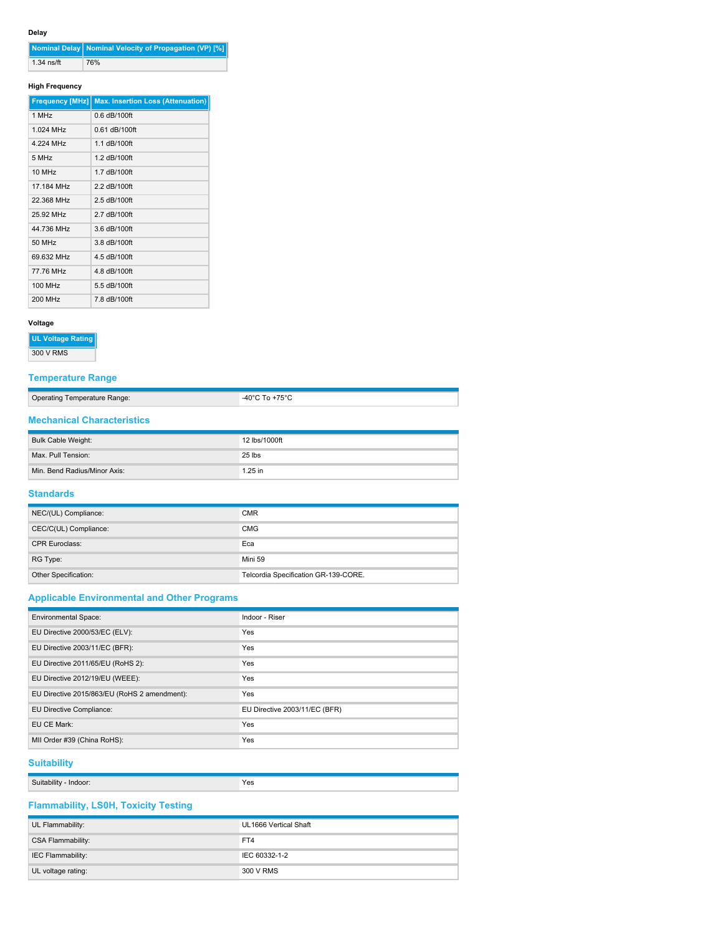### **Delay**

|              | Nominal Delay   Nominal Velocity of Propagation (VP) [%] |
|--------------|----------------------------------------------------------|
| $1.34$ ns/ft | 76%                                                      |

### **High Frequency**

| <b>Frequency [MHz]</b> | <b>Max. Insertion Loss (Attenuation)</b> |
|------------------------|------------------------------------------|
| 1 MHz                  | $0.6$ dB/100ft                           |
| 1.024 MHz              | $0.61$ dB/100ft                          |
| 4 224 MHz              | 1 1 dB/100ft                             |
| 5 MHz                  | 1.2 dB/100ft                             |
| 10 MH <sub>z</sub>     | 1 7 dB/100ft                             |
| 17.184 MHz             | 2.2 dB/100ft                             |
| 22.368 MHz             | $2.5$ dB/100ft                           |
| 25.92 MHz              | 2.7 dB/100ft                             |
| 44 736 MHz             | 3.6 dB/100ft                             |
| 50 MHz                 | 3.8 dB/100ft                             |
| 69 632 MHz             | 4.5 dB/100ft                             |
| 77.76 MHz              | 4.8 dB/100ft                             |
| <b>100 MHz</b>         | 5.5 dB/100ft                             |
| 200 MHz                | 7.8 dB/100ft                             |

### **Voltage**

**UL Voltage Rating**

300 V RMS

### **Temperature Range**

| -40 $^{\circ}$ C To +75 $^{\circ}$ C<br>Operating Temperature Range: |
|----------------------------------------------------------------------|
|----------------------------------------------------------------------|

### **Mechanical Characteristics**

| Bulk Cable Weight:           | 12 lbs/1000ft |
|------------------------------|---------------|
| Max. Pull Tension:           | 25 lbs        |
| Min. Bend Radius/Minor Axis: | $1.25$ in     |

### **Standards**

| NEC/(UL) Compliance:  | <b>CMR</b>                           |
|-----------------------|--------------------------------------|
| CEC/C(UL) Compliance: | <b>CMG</b>                           |
| <b>CPR Euroclass:</b> | Eca                                  |
| RG Type:              | Mini 59                              |
| Other Specification:  | Telcordia Specification GR-139-CORE. |

### **Applicable Environmental and Other Programs**

| <b>Environmental Space:</b>                  | Indoor - Riser                |
|----------------------------------------------|-------------------------------|
| EU Directive 2000/53/EC (ELV):               | Yes                           |
| EU Directive 2003/11/EC (BFR):               | Yes                           |
| EU Directive 2011/65/EU (RoHS 2):            | <b>Yes</b>                    |
| EU Directive 2012/19/EU (WEEE):              | <b>Yes</b>                    |
| EU Directive 2015/863/EU (RoHS 2 amendment): | <b>Yes</b>                    |
| EU Directive Compliance:                     | EU Directive 2003/11/EC (BFR) |
| EU CE Mark:                                  | Yes                           |
| MII Order #39 (China RoHS):                  | Yes                           |

### **Suitability**

| $-$<br>$\sim$<br>Indoor<br>JOIHP'<br>יי | Yes<br>$\cdot$ $\sim$ $\sim$ |
|-----------------------------------------|------------------------------|

## **Flammability, LS0H, Toxicity Testing**

| UL Flammability:         | UL1666 Vertical Shaft |
|--------------------------|-----------------------|
| <b>CSA Flammability:</b> | FT4                   |
| IEC Flammability:        | IEC 60332-1-2         |
| UL voltage rating:       | 300 V RMS             |